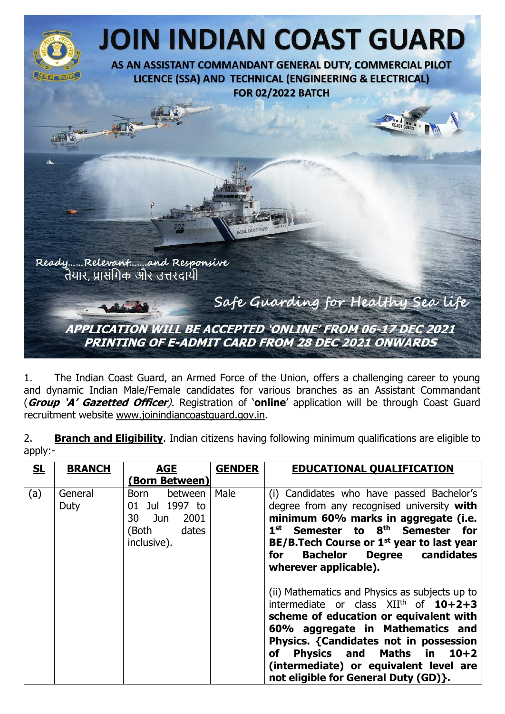

1. The Indian Coast Guard, an Armed Force of the Union, offers a challenging career to young and dynamic Indian Male/Female candidates for various branches as an Assistant Commandant (**Group 'A' Gazetted Officer**). Registration of '**online**' application will be through Coast Guard recruitment website [www.joinindiancoastguard.gov.in.](http://www.joinindiancoastguard.gov.in/)

|           | <b>Branch and Eligibility</b> . Indian citizens having following minimum qualifications are eligible to |  |  |  |  |
|-----------|---------------------------------------------------------------------------------------------------------|--|--|--|--|
| $apply:-$ |                                                                                                         |  |  |  |  |

| SL  | <b>BRANCH</b>   | <b>AGE</b>                                                                           | <b>GENDER</b> | <b>EDUCATIONAL QUALIFICATION</b>                                                                                                                                                                                                                                                                                                                             |
|-----|-----------------|--------------------------------------------------------------------------------------|---------------|--------------------------------------------------------------------------------------------------------------------------------------------------------------------------------------------------------------------------------------------------------------------------------------------------------------------------------------------------------------|
|     |                 | (Born Between)                                                                       |               |                                                                                                                                                                                                                                                                                                                                                              |
| (a) | General<br>Duty | between<br>Born<br>01 Jul 1997 to<br>2001<br>30 Jun<br>dates<br>(Both<br>inclusive). | Male          | (i) Candidates who have passed Bachelor's<br>degree from any recognised university with<br>minimum 60% marks in aggregate (i.e.<br>1 <sup>st</sup> Semester to 8 <sup>th</sup> Semester for<br>BE/B. Tech Course or 1 <sup>st</sup> year to last year<br><b>Bachelor Degree candidates</b><br>for<br>wherever applicable).                                   |
|     |                 |                                                                                      |               | (ii) Mathematics and Physics as subjects up to<br>intermediate or class XII <sup>th</sup> of 10+2+3<br>scheme of education or equivalent with<br>60% aggregate in Mathematics and<br>Physics. {Candidates not in possession<br><b>Physics and Maths in</b><br>$10+2$<br>of<br>(intermediate) or equivalent level are<br>not eligible for General Duty (GD)}. |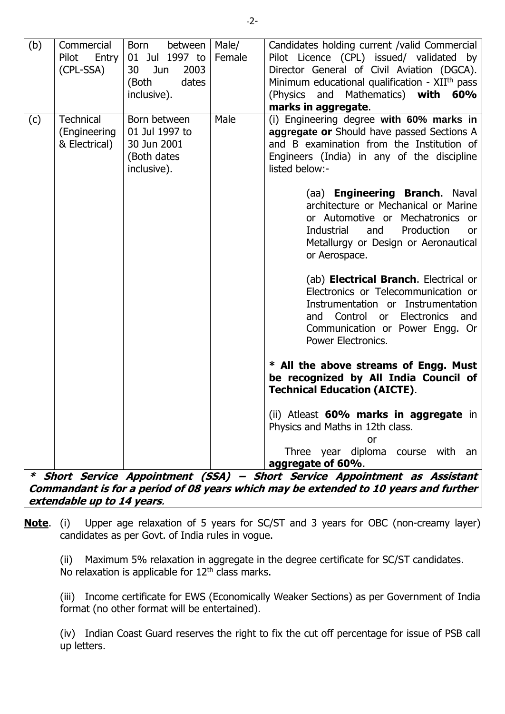| (b) | Commercial<br>Pilot<br>Entry<br>(CPL-SSA)                                                                          | Born<br>between<br>01 Jul 1997 to<br>30<br>Jun<br>2003<br>(Both<br>dates<br>inclusive). | Male/<br>Female | Candidates holding current / valid Commercial<br>Pilot Licence (CPL) issued/ validated by<br>Director General of Civil Aviation (DGCA).<br>Minimum educational qualification - XII <sup>th</sup> pass<br>(Physics and Mathematics) with<br>60%<br>marks in aggregate.                                                                                                                                                                                                                                                                                                                                                                                                                                                                                                                                                                                                                                                                                                                                        |  |  |  |
|-----|--------------------------------------------------------------------------------------------------------------------|-----------------------------------------------------------------------------------------|-----------------|--------------------------------------------------------------------------------------------------------------------------------------------------------------------------------------------------------------------------------------------------------------------------------------------------------------------------------------------------------------------------------------------------------------------------------------------------------------------------------------------------------------------------------------------------------------------------------------------------------------------------------------------------------------------------------------------------------------------------------------------------------------------------------------------------------------------------------------------------------------------------------------------------------------------------------------------------------------------------------------------------------------|--|--|--|
| (c) | <b>Technical</b><br>(Engineering<br>& Electrical)                                                                  | Born between<br>01 Jul 1997 to<br>30 Jun 2001<br>(Both dates<br>inclusive).             | Male            | (i) Engineering degree with 60% marks in<br>aggregate or Should have passed Sections A<br>and B examination from the Institution of<br>Engineers (India) in any of the discipline<br>listed below:-<br>(aa) <b>Engineering Branch</b> . Naval<br>architecture or Mechanical or Marine<br>or Automotive or Mechatronics or<br>Industrial<br>Production<br>and<br>or<br>Metallurgy or Design or Aeronautical<br>or Aerospace.<br>(ab) <b>Electrical Branch</b> . Electrical or<br>Electronics or Telecommunication or<br>Instrumentation or Instrumentation<br>Control or Electronics and<br>and<br>Communication or Power Engg. Or<br>Power Electronics.<br>* All the above streams of Engg. Must<br>be recognized by All India Council of<br><b>Technical Education (AICTE).</b><br>(ii) Atleast 60% marks in aggregate in<br>Physics and Maths in 12th class.<br>or<br>Three year diploma course with an<br>aggregate of 60%.<br>* Short Service Appointment (SSA) – Short Service Appointment as Assistant |  |  |  |
|     | Commandant is for a period of 08 years which may be extended to 10 years and further<br>extendable up to 14 years. |                                                                                         |                 |                                                                                                                                                                                                                                                                                                                                                                                                                                                                                                                                                                                                                                                                                                                                                                                                                                                                                                                                                                                                              |  |  |  |

**Note**. (i) Upper age relaxation of 5 years for SC/ST and 3 years for OBC (non-creamy layer) candidates as per Govt. of India rules in vogue.

(ii) Maximum 5% relaxation in aggregate in the degree certificate for SC/ST candidates. No relaxation is applicable for  $12<sup>th</sup>$  class marks.

(iii) Income certificate for EWS (Economically Weaker Sections) as per Government of India format (no other format will be entertained).

(iv) Indian Coast Guard reserves the right to fix the cut off percentage for issue of PSB call up letters.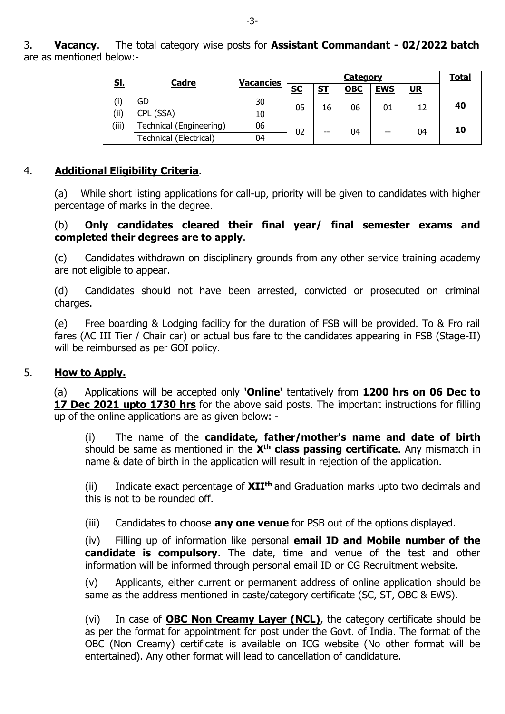3. **Vacancy**. The total category wise posts for **Assistant Commandant - 02/2022 batch** are as mentioned below:-

| <u>Sl.</u><br><u>Cadre</u> |                               | <b>Vacancies</b> | <u>Category</u> |           |            |            |      | <b>Total</b> |
|----------------------------|-------------------------------|------------------|-----------------|-----------|------------|------------|------|--------------|
|                            |                               |                  | <u>sc</u>       | <u>ST</u> | <b>OBC</b> | <b>EWS</b> | $UR$ |              |
|                            | GD                            | 30               | 05              | 16        | 06         | 01         |      | 40           |
| (ii)                       | CPL (SSA)                     | 10               |                 |           |            |            |      |              |
| (iii)                      | Technical (Engineering)       | 06               | 02              | $-$       | 04         | --         | 04   | 10           |
|                            | <b>Technical (Electrical)</b> | 04               |                 |           |            |            |      |              |

### 4. **Additional Eligibility Criteria**.

(a) While short listing applications for call-up, priority will be given to candidates with higher percentage of marks in the degree.

#### (b) **Only candidates cleared their final year/ final semester exams and completed their degrees are to apply**.

(c) Candidates withdrawn on disciplinary grounds from any other service training academy are not eligible to appear.

(d) Candidates should not have been arrested, convicted or prosecuted on criminal charges.

(e) Free boarding & Lodging facility for the duration of FSB will be provided. To & Fro rail fares (AC III Tier / Chair car) or actual bus fare to the candidates appearing in FSB (Stage-II) will be reimbursed as per GOI policy.

### 5. **How to Apply.**

(a) Applications will be accepted only **'Online'** tentatively from **1200 hrs on 06 Dec to 17 Dec 2021 upto 1730 hrs** for the above said posts. The important instructions for filling up of the online applications are as given below: -

(i) The name of the **candidate, father/mother's name and date of birth** should be same as mentioned in the **Xth class passing certificate**. Any mismatch in name & date of birth in the application will result in rejection of the application.

(ii) Indicate exact percentage of **XIIth** and Graduation marks upto two decimals and this is not to be rounded off.

(iii) Candidates to choose **any one venue** for PSB out of the options displayed.

(iv) Filling up of information like personal **email ID and Mobile number of the candidate is compulsory**. The date, time and venue of the test and other information will be informed through personal email ID or CG Recruitment website.

(v) Applicants, either current or permanent address of online application should be same as the address mentioned in caste/category certificate (SC, ST, OBC & EWS).

(vi) In case of **OBC Non Creamy Layer (NCL)**, the category certificate should be as per the format for appointment for post under the Govt. of India. The format of the OBC (Non Creamy) certificate is available on ICG website (No other format will be entertained). Any other format will lead to cancellation of candidature.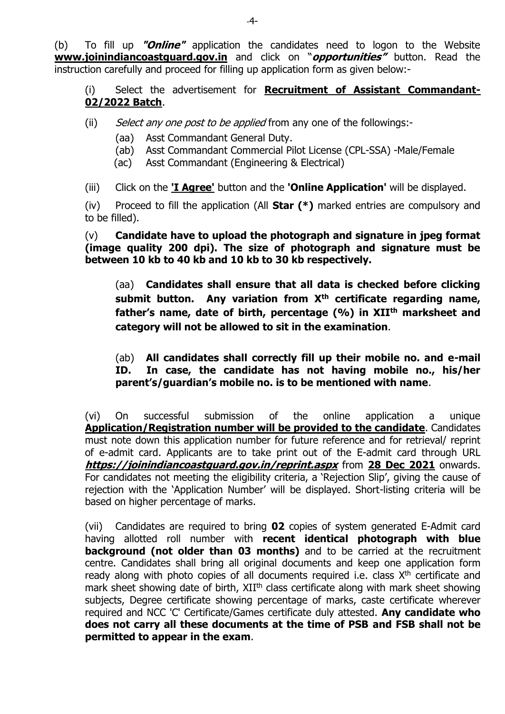(b) To fill up **"Online"** application the candidates need to logon to the Website **[www.joinindiancoastguard.gov.in](http://www.joinindiancoastguard.gov.in/)** and click on "**opportunities"** button. Read the instruction carefully and proceed for filling up application form as given below:-

(i) Select the advertisement for **Recruitment of Assistant Commandant-02/2022 Batch**.

- (ii) Select any one post to be applied from any one of the followings:-
	- (aa) Asst Commandant General Duty.
	- (ab) Asst Commandant Commercial Pilot License (CPL-SSA) -Male/Female
	- (ac) Asst Commandant (Engineering & Electrical)
- (iii) Click on the **'I Agree'** button and the **'Online Application'** will be displayed.

(iv) Proceed to fill the application (All **Star (\*)** marked entries are compulsory and to be filled).

(v) **Candidate have to upload the photograph and signature in jpeg format (image quality 200 dpi). The size of photograph and signature must be between 10 kb to 40 kb and 10 kb to 30 kb respectively.**

(aa) **Candidates shall ensure that all data is checked before clicking submit button. Any variation from Xth certificate regarding name, father's name, date of birth, percentage (%) in XIIth marksheet and category will not be allowed to sit in the examination**.

(ab) **All candidates shall correctly fill up their mobile no. and e-mail ID. In case, the candidate has not having mobile no., his/her parent's/guardian's mobile no. is to be mentioned with name**.

(vi) On successful submission of the online application a unique **Application/Registration number will be provided to the candidate**. Candidates must note down this application number for future reference and for retrieval/ reprint of e-admit card. Applicants are to take print out of the E-admit card through URL **<https://joinindiancoastguard.gov.in/reprint.aspx>** from **28 Dec 2021** onwards. For candidates not meeting the eligibility criteria, a 'Rejection Slip', giving the cause of rejection with the 'Application Number' will be displayed. Short-listing criteria will be based on higher percentage of marks.

(vii) Candidates are required to bring **02** copies of system generated E-Admit card having allotted roll number with **recent identical photograph with blue background (not older than 03 months)** and to be carried at the recruitment centre. Candidates shall bring all original documents and keep one application form ready along with photo copies of all documents required i.e. class  $X<sup>th</sup>$  certificate and mark sheet showing date of birth, XII<sup>th</sup> class certificate along with mark sheet showing subjects, Degree certificate showing percentage of marks, caste certificate wherever required and NCC 'C' Certificate/Games certificate duly attested. **Any candidate who does not carry all these documents at the time of PSB and FSB shall not be permitted to appear in the exam**.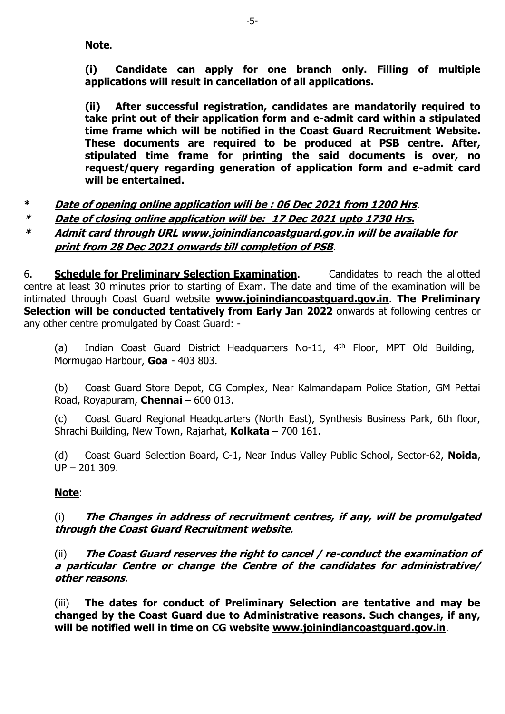### **Note**.

**(i) Candidate can apply for one branch only. Filling of multiple applications will result in cancellation of all applications.**

**(ii) After successful registration, candidates are mandatorily required to take print out of their application form and e-admit card within a stipulated time frame which will be notified in the Coast Guard Recruitment Website. These documents are required to be produced at PSB centre. After, stipulated time frame for printing the said documents is over, no request/query regarding generation of application form and e-admit card will be entertained.** 

- **\* Date of opening online application will be : 06 Dec 2021 from 1200 Hrs**.
- **\* Date of closing online application will be:\_17 Dec 2021 upto 1730 Hrs.**
- **\* Admit card through URL [www.joinindiancoastguard.gov.in](http://www.joinindiancoastguard.gov.in/) will be available for print from 28 Dec 2021 onwards till completion of PSB**.

6. **Schedule for Preliminary Selection Examination**. Candidates to reach the allotted centre at least 30 minutes prior to starting of Exam. The date and time of the examination will be intimated through Coast Guard website **[www.joinindiancoastguard.gov.in](http://www.joinindiancoastguard.gov.in/)**. **The Preliminary Selection will be conducted tentatively from Early Jan 2022** onwards at following centres or any other centre promulgated by Coast Guard: -

(a) Indian Coast Guard District Headquarters No-11, 4<sup>th</sup> Floor, MPT Old Building, Mormugao Harbour, **Goa** - 403 803.

(b) Coast Guard Store Depot, CG Complex, Near Kalmandapam Police Station, GM Pettai Road, Royapuram, **Chennai** – 600 013.

(c) Coast Guard Regional Headquarters (North East), Synthesis Business Park, 6th floor, Shrachi Building, New Town, Rajarhat, **Kolkata** – 700 161.

(d) Coast Guard Selection Board, C-1, Near Indus Valley Public School, Sector-62, **Noida**, UP – 201 309.

### **Note**:

(i) **The Changes in address of recruitment centres, if any, will be promulgated through the Coast Guard Recruitment website**.

(ii) **The Coast Guard reserves the right to cancel / re-conduct the examination of a particular Centre or change the Centre of the candidates for administrative/ other reasons**.

(iii) **The dates for conduct of Preliminary Selection are tentative and may be changed by the Coast Guard due to Administrative reasons. Such changes, if any, will be notified well in time on CG website [www.joinindiancoastguard.gov.in](http://www.joinindiancoastguard.gov.in/)**.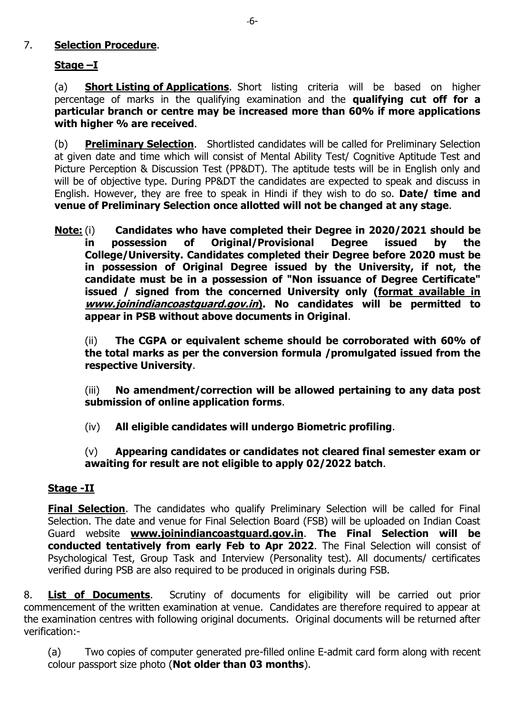## 7. **Selection Procedure**.

## **Stage –I**

(a) **Short Listing of Applications**. Short listing criteria will be based on higher percentage of marks in the qualifying examination and the **qualifying cut off for a particular branch or centre may be increased more than 60% if more applications with higher % are received**.

(b) **Preliminary Selection**. Shortlisted candidates will be called for Preliminary Selection at given date and time which will consist of Mental Ability Test/ Cognitive Aptitude Test and Picture Perception & Discussion Test (PP&DT). The aptitude tests will be in English only and will be of objective type. During PP&DT the candidates are expected to speak and discuss in English. However, they are free to speak in Hindi if they wish to do so. **Date/ time and venue of Preliminary Selection once allotted will not be changed at any stage**.

**Note:** (i) **Candidates who have completed their Degree in 2020/2021 should be in possession of Original/Provisional Degree issued by the College/University. Candidates completed their Degree before 2020 must be in possession of Original Degree issued by the University, if not, the candidate must be in a possession of "Non issuance of Degree Certificate" issued / signed from the concerned University only (format available in www.joinindiancoastguard.gov.in). No candidates will be permitted to appear in PSB without above documents in Original**.

(ii) **The CGPA or equivalent scheme should be corroborated with 60% of the total marks as per the conversion formula /promulgated issued from the respective University**.

(iii) **No amendment/correction will be allowed pertaining to any data post submission of online application forms**.

(iv) **All eligible candidates will undergo Biometric profiling**.

### (v) **Appearing candidates or candidates not cleared final semester exam or awaiting for result are not eligible to apply 02/2022 batch**.

### **Stage -II**

**Final Selection**. The candidates who qualify Preliminary Selection will be called for Final Selection. The date and venue for Final Selection Board (FSB) will be uploaded on Indian Coast Guard website **[www.joinindiancoastguard.gov.in](http://www.joinindiancoastguard.gov.in/)**. **The Final Selection will be conducted tentatively from early Feb to Apr 2022**. The Final Selection will consist of Psychological Test, Group Task and Interview (Personality test). All documents/ certificates verified during PSB are also required to be produced in originals during FSB.

8. **List of Documents**. Scrutiny of documents for eligibility will be carried out prior commencement of the written examination at venue. Candidates are therefore required to appear at the examination centres with following original documents. Original documents will be returned after verification:-

(a) Two copies of computer generated pre-filled online E-admit card form along with recent colour passport size photo (**Not older than 03 months**).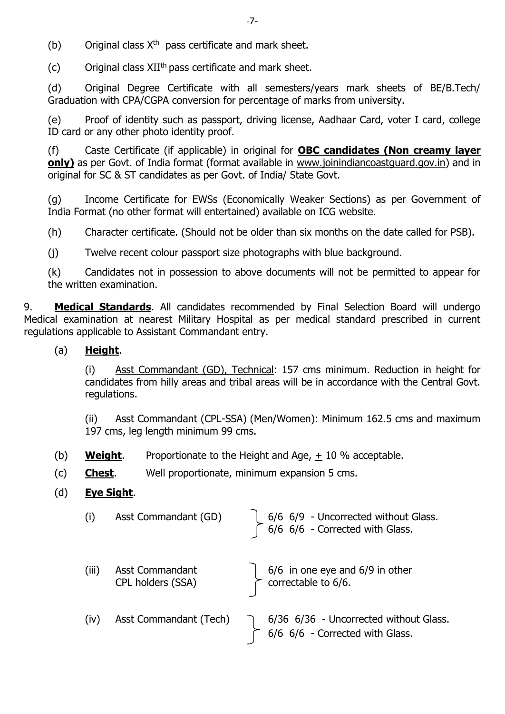(b) Original class  $X^{th}$  pass certificate and mark sheet.

(c) Original class  $XII^{th}$  pass certificate and mark sheet.

(d) Original Degree Certificate with all semesters/years mark sheets of BE/B.Tech/ Graduation with CPA/CGPA conversion for percentage of marks from university.

(e) Proof of identity such as passport, driving license, Aadhaar Card, voter I card, college ID card or any other photo identity proof.

(f) Caste Certificate (if applicable) in original for **OBC candidates (Non creamy layer only)** as per Govt. of India format (format available in [www.joinindiancoastguard.gov.in\)](http://www.joinindiancoastguard.gov.in/) and in original for SC & ST candidates as per Govt. of India/ State Govt.

(g) Income Certificate for EWSs (Economically Weaker Sections) as per Government of India Format (no other format will entertained) available on ICG website.

(h) Character certificate. (Should not be older than six months on the date called for PSB).

(j) Twelve recent colour passport size photographs with blue background.

(k) Candidates not in possession to above documents will not be permitted to appear for the written examination.

9. **Medical Standards**. All candidates recommended by Final Selection Board will undergo Medical examination at nearest Military Hospital as per medical standard prescribed in current regulations applicable to Assistant Commandant entry.

# (a) **Height**.

(i) Asst Commandant (GD), Technical: 157 cms minimum. Reduction in height for candidates from hilly areas and tribal areas will be in accordance with the Central Govt. regulations.

(ii) Asst Commandant (CPL-SSA) (Men/Women): Minimum 162.5 cms and maximum 197 cms, leg length minimum 99 cms.

(b) **Weight**. Proportionate to the Height and Age, + 10 % acceptable.

(c) **Chest**. Well proportionate, minimum expansion 5 cms.

# (d) **Eye Sight**.

| (i)   | Asst Commandant (GD)                        | $6/6$ 6/9 - Uncorrected without Glass.<br>$6/6$ 6/6 - Corrected with Glass. |
|-------|---------------------------------------------|-----------------------------------------------------------------------------|
| (iii) | <b>Asst Commandant</b><br>CPL holders (SSA) | $6/6$ in one eye and 6/9 in other<br>Correctable to 6/6.                    |
| (iv)  | Asst Commandant (Tech)                      | 6/36 6/36 - Uncorrected without Glass.<br>6/6 6/6 - Corrected with Glass.   |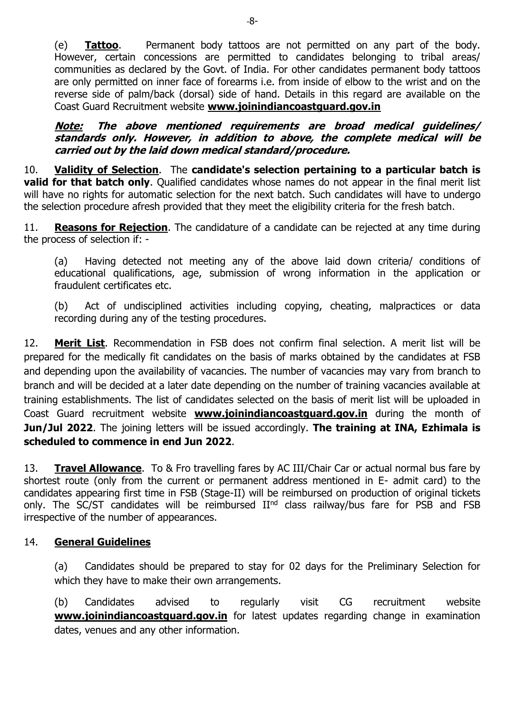(e) **Tattoo**. Permanent body tattoos are not permitted on any part of the body. However, certain concessions are permitted to candidates belonging to tribal areas/ communities as declared by the Govt. of India. For other candidates permanent body tattoos are only permitted on inner face of forearms i.e. from inside of elbow to the wrist and on the reverse side of palm/back (dorsal) side of hand. Details in this regard are available on the Coast Guard Recruitment website **[www.joinindiancoastguard.gov.in](http://www.joinindiancoastguard.gov.in/)**

**Note: The above mentioned requirements are broad medical guidelines/ standards only. However, in addition to above, the complete medical will be carried out by the laid down medical standard/procedure.**

10. **Validity of Selection**. The **candidate's selection pertaining to a particular batch is valid for that batch only**. Qualified candidates whose names do not appear in the final merit list will have no rights for automatic selection for the next batch. Such candidates will have to undergo the selection procedure afresh provided that they meet the eligibility criteria for the fresh batch.

11. **Reasons for Rejection**. The candidature of a candidate can be rejected at any time during the process of selection if: -

(a) Having detected not meeting any of the above laid down criteria/ conditions of educational qualifications, age, submission of wrong information in the application or fraudulent certificates etc.

(b) Act of undisciplined activities including copying, cheating, malpractices or data recording during any of the testing procedures.

12. **Merit List**. Recommendation in FSB does not confirm final selection. A merit list will be prepared for the medically fit candidates on the basis of marks obtained by the candidates at FSB and depending upon the availability of vacancies. The number of vacancies may vary from branch to branch and will be decided at a later date depending on the number of training vacancies available at training establishments. The list of candidates selected on the basis of merit list will be uploaded in Coast Guard recruitment website **[www.joinindiancoastguard.gov.in](http://www.joinindiancoastguard.gov.in/)** during the month of **Jun/Jul 2022**. The joining letters will be issued accordingly. **The training at INA, Ezhimala is scheduled to commence in end Jun 2022**.

13. **Travel Allowance**. To & Fro travelling fares by AC III/Chair Car or actual normal bus fare by shortest route (only from the current or permanent address mentioned in E- admit card) to the candidates appearing first time in FSB (Stage-II) will be reimbursed on production of original tickets only. The SC/ST candidates will be reimbursed II<sup>nd</sup> class railway/bus fare for PSB and FSB irrespective of the number of appearances.

# 14. **General Guidelines**

(a) Candidates should be prepared to stay for 02 days for the Preliminary Selection for which they have to make their own arrangements.

(b) Candidates advised to regularly visit CG recruitment website **[www.joinindiancoastguard.gov.in](http://www.joinindiancoastguard.gov.in/)** for latest updates regarding change in examination dates, venues and any other information.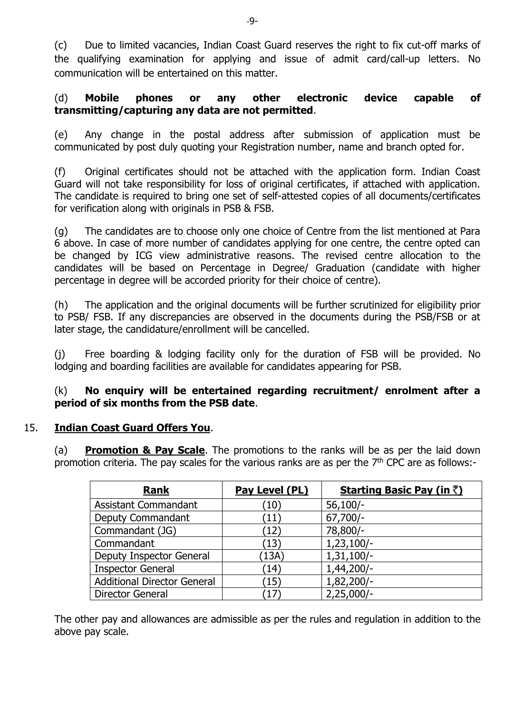(c) Due to limited vacancies, Indian Coast Guard reserves the right to fix cut-off marks of the qualifying examination for applying and issue of admit card/call-up letters. No communication will be entertained on this matter.

### (d) **Mobile phones or any other electronic device capable of transmitting/capturing any data are not permitted**.

(e) Any change in the postal address after submission of application must be communicated by post duly quoting your Registration number, name and branch opted for.

(f) Original certificates should not be attached with the application form. Indian Coast Guard will not take responsibility for loss of original certificates, if attached with application. The candidate is required to bring one set of self-attested copies of all documents/certificates for verification along with originals in PSB & FSB.

(g) The candidates are to choose only one choice of Centre from the list mentioned at Para 6 above. In case of more number of candidates applying for one centre, the centre opted can be changed by ICG view administrative reasons. The revised centre allocation to the candidates will be based on Percentage in Degree/ Graduation (candidate with higher percentage in degree will be accorded priority for their choice of centre).

(h) The application and the original documents will be further scrutinized for eligibility prior to PSB/ FSB. If any discrepancies are observed in the documents during the PSB/FSB or at later stage, the candidature/enrollment will be cancelled.

(j) Free boarding & lodging facility only for the duration of FSB will be provided. No lodging and boarding facilities are available for candidates appearing for PSB.

### (k) **No enquiry will be entertained regarding recruitment/ enrolment after a period of six months from the PSB date**.

# 15. **Indian Coast Guard Offers You**.

(a) **Promotion & Pay Scale**. The promotions to the ranks will be as per the laid down promotion criteria. The pay scales for the various ranks are as per the  $7<sup>th</sup>$  CPC are as follows:-

| <b>Rank</b>                        | Pay Level (PL)    | <b>Starting Basic Pay (in ₹)</b> |
|------------------------------------|-------------------|----------------------------------|
| <b>Assistant Commandant</b>        | $\left(10\right)$ | $56,100/-$                       |
| Deputy Commandant                  | $\left(11\right)$ | $67,700/-$                       |
| Commandant (JG)                    | (12)              | 78,800/-                         |
| Commandant                         | (13)              | $1,23,100/-$                     |
| Deputy Inspector General           | (13A)             | $1,31,100/-$                     |
| <b>Inspector General</b>           | (14)              | 1,44,200/-                       |
| <b>Additional Director General</b> | $^{\prime}15)$    | 1,82,200/-                       |
| <b>Director General</b>            | $^{\prime}17$     | $2,25,000/-$                     |

The other pay and allowances are admissible as per the rules and regulation in addition to the above pay scale.